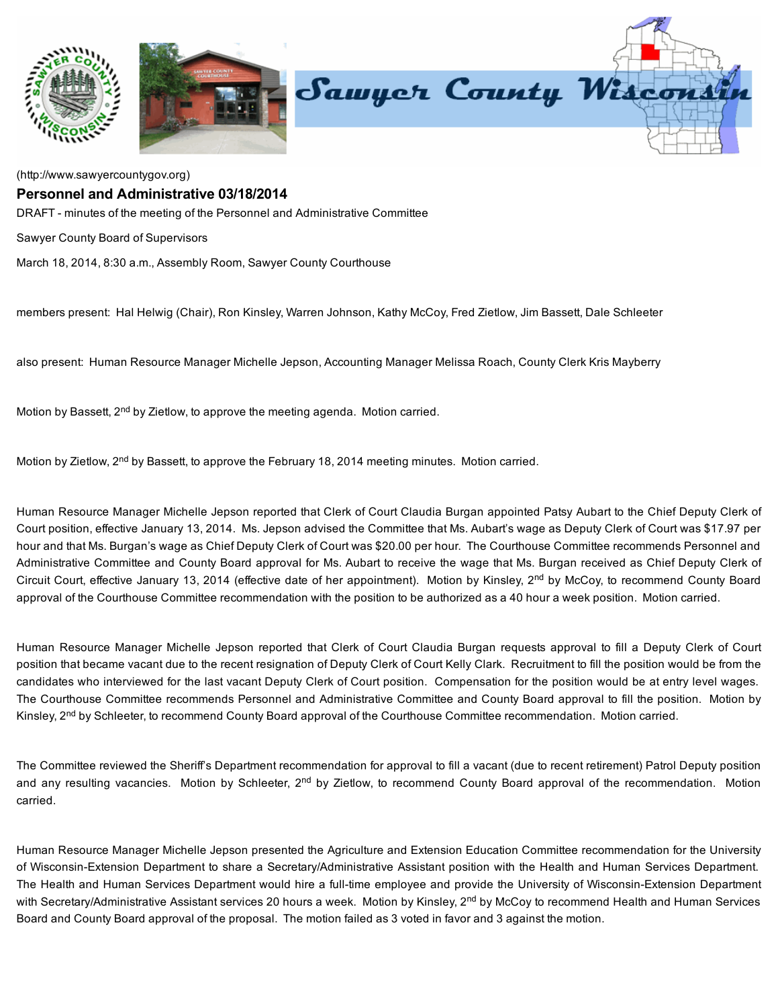

[\(http://www.sawyercountygov.org\)](http://www.sawyercountygov.org/)

## Personnel and Administrative 03/18/2014

DRAFT - minutes of the meeting of the Personnel and Administrative Committee

Sawyer County Board of Supervisors

March 18, 2014, 8:30 a.m., Assembly Room, Sawyer County Courthouse

members present: Hal Helwig (Chair), Ron Kinsley, Warren Johnson, Kathy McCoy, Fred Zietlow, Jim Bassett, Dale Schleeter

also present: Human Resource Manager Michelle Jepson, Accounting Manager Melissa Roach, County Clerk Kris Mayberry

Motion by Bassett, 2<sup>nd</sup> by Zietlow, to approve the meeting agenda. Motion carried.

Motion by Zietlow, 2<sup>nd</sup> by Bassett, to approve the February 18, 2014 meeting minutes. Motion carried.

Human Resource Manager Michelle Jepson reported that Clerk of Court Claudia Burgan appointed Patsy Aubart to the Chief Deputy Clerk of Court position, effective January 13, 2014. Ms. Jepson advised the Committee that Ms. Aubart's wage as Deputy Clerk of Court was \$17.97 per hour and that Ms. Burgan's wage as Chief Deputy Clerk of Court was \$20.00 per hour. The Courthouse Committee recommends Personnel and Administrative Committee and County Board approval for Ms. Aubart to receive the wage that Ms. Burgan received as Chief Deputy Clerk of Circuit Court, effective January 13, 2014 (effective date of her appointment). Motion by Kinsley, 2<sup>nd</sup> by McCoy, to recommend County Board approval of the Courthouse Committee recommendation with the position to be authorized as a 40 hour a week position. Motion carried.

Human Resource Manager Michelle Jepson reported that Clerk of Court Claudia Burgan requests approval to fill a Deputy Clerk of Court position that became vacant due to the recent resignation of Deputy Clerk of Court Kelly Clark. Recruitment to fill the position would be from the candidates who interviewed for the last vacant Deputy Clerk of Court position. Compensation for the position would be at entry level wages. The Courthouse Committee recommends Personnel and Administrative Committee and County Board approval to fill the position. Motion by Kinsley, 2<sup>nd</sup> by Schleeter, to recommend County Board approval of the Courthouse Committee recommendation. Motion carried.

The Committee reviewed the Sheriff's Department recommendation for approval to fill a vacant (due to recent retirement) Patrol Deputy position and any resulting vacancies. Motion by Schleeter, 2<sup>nd</sup> by Zietlow, to recommend County Board approval of the recommendation. Motion carried.

Human Resource Manager Michelle Jepson presented the Agriculture and Extension Education Committee recommendation for the University of Wisconsin-Extension Department to share a Secretary/Administrative Assistant position with the Health and Human Services Department. The Health and Human Services Department would hire a full-time employee and provide the University of Wisconsin-Extension Department with Secretary/Administrative Assistant services 20 hours a week. Motion by Kinsley, 2<sup>nd</sup> by McCoy to recommend Health and Human Services Board and County Board approval of the proposal. The motion failed as 3 voted in favor and 3 against the motion.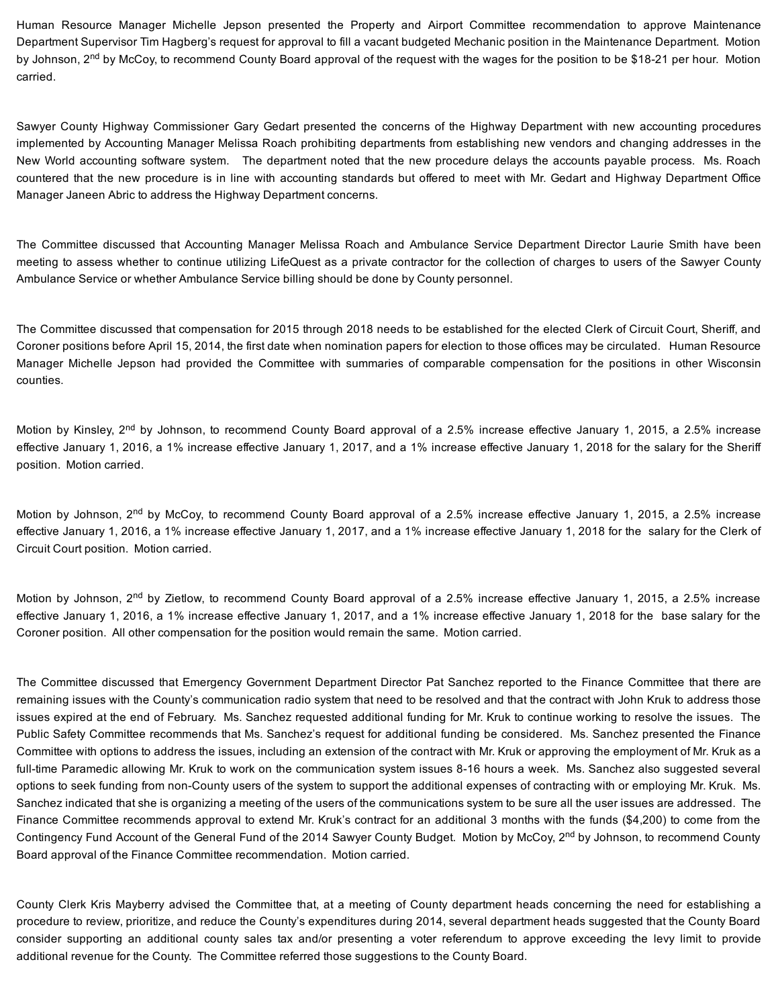Human Resource Manager Michelle Jepson presented the Property and Airport Committee recommendation to approve Maintenance Department Supervisor Tim Hagberg's request for approval to fill a vacant budgeted Mechanic position in the Maintenance Department. Motion by Johnson, 2<sup>nd</sup> by McCoy, to recommend County Board approval of the request with the wages for the position to be \$18-21 per hour. Motion carried.

Sawyer County Highway Commissioner Gary Gedart presented the concerns of the Highway Department with new accounting procedures implemented by Accounting Manager Melissa Roach prohibiting departments from establishing new vendors and changing addresses in the New World accounting software system. The department noted that the new procedure delays the accounts payable process. Ms. Roach countered that the new procedure is in line with accounting standards but offered to meet with Mr. Gedart and Highway Department Office Manager Janeen Abric to address the Highway Department concerns.

The Committee discussed that Accounting Manager Melissa Roach and Ambulance Service Department Director Laurie Smith have been meeting to assess whether to continue utilizing LifeQuest as a private contractor for the collection of charges to users of the Sawyer County Ambulance Service or whether Ambulance Service billing should be done by County personnel.

The Committee discussed that compensation for 2015 through 2018 needs to be established for the elected Clerk of Circuit Court, Sheriff, and Coroner positions before April 15, 2014, the first date when nomination papers for election to those offices may be circulated. Human Resource Manager Michelle Jepson had provided the Committee with summaries of comparable compensation for the positions in other Wisconsin counties.

Motion by Kinsley, 2<sup>nd</sup> by Johnson, to recommend County Board approval of a 2.5% increase effective January 1, 2015, a 2.5% increase effective January 1, 2016, a 1% increase effective January 1, 2017, and a 1% increase effective January 1, 2018 for the salary for the Sheriff position. Motion carried.

Motion by Johnson, 2<sup>nd</sup> by McCoy, to recommend County Board approval of a 2.5% increase effective January 1, 2015, a 2.5% increase effective January 1, 2016, a 1% increase effective January 1, 2017, and a 1% increase effective January 1, 2018 for the salary for the Clerk of Circuit Court position. Motion carried.

Motion by Johnson, 2<sup>nd</sup> by Zietlow, to recommend County Board approval of a 2.5% increase effective January 1, 2015, a 2.5% increase effective January 1, 2016, a 1% increase effective January 1, 2017, and a 1% increase effective January 1, 2018 for the base salary for the Coroner position. All other compensation for the position would remain the same. Motion carried.

The Committee discussed that Emergency Government Department Director Pat Sanchez reported to the Finance Committee that there are remaining issues with the County's communication radio system that need to be resolved and that the contract with John Kruk to address those issues expired at the end of February. Ms. Sanchez requested additional funding for Mr. Kruk to continue working to resolve the issues. The Public Safety Committee recommends that Ms. Sanchez's request for additional funding be considered. Ms. Sanchez presented the Finance Committee with options to address the issues, including an extension of the contract with Mr. Kruk or approving the employment of Mr. Kruk as a full-time Paramedic allowing Mr. Kruk to work on the communication system issues 8-16 hours a week. Ms. Sanchez also suggested several options to seek funding from nonCounty users of the system to support the additional expenses of contracting with or employing Mr. Kruk. Ms. Sanchez indicated that she is organizing a meeting of the users of the communications system to be sure all the user issues are addressed. The Finance Committee recommends approval to extend Mr. Kruk's contract for an additional 3 months with the funds (\$4,200) to come from the Contingency Fund Account of the General Fund of the 2014 Sawyer County Budget. Motion by McCoy, 2<sup>nd</sup> by Johnson, to recommend County Board approval of the Finance Committee recommendation. Motion carried.

County Clerk Kris Mayberry advised the Committee that, at a meeting of County department heads concerning the need for establishing a procedure to review, prioritize, and reduce the County's expenditures during 2014, several department heads suggested that the County Board consider supporting an additional county sales tax and/or presenting a voter referendum to approve exceeding the levy limit to provide additional revenue for the County. The Committee referred those suggestions to the County Board.